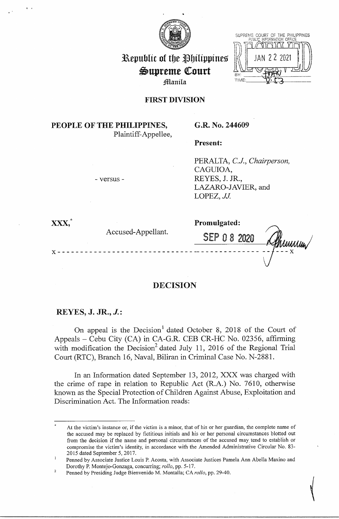

| SUPKEME I | UUUR!<br>PHBLIC INFORMATION | - 15 | I BE FRILIPPINES<br>OFFICE |  |
|-----------|-----------------------------|------|----------------------------|--|
|           |                             | -11  |                            |  |
|           |                             |      |                            |  |

Hummin

**Republic of the Philippines**  $\mathfrak{S}$ upreme Court j)lflanila

## **FIRST DIVISION**

# **PEOPLE OF THE PHILIPPINES,**  Plaintiff-Appellee,

- versus -

**G.R. No. 244609** 

**Present:** 

PERALTA, *CJ., Chairperson,*  CAGUIOA, REYES, J. **JR.,**  LAZARO-JAVIER, and LOPEZ, JJ.

**xxx,\* Promulgated:** 

Accused-Appellant. SEP 0 8 2020

**DECISION** 

**X** - - - - - - - - - - - - - - - - - - - - - - - - - - - - - - -- - - - - - - - - - - - - -

# **REYES, J. JR., J.:**

On appeal is the Decision<sup>1</sup> dated October 8, 2018 of the Court of Appeals - Cebu City (CA) in CA-G.R. CEB CR-HC No. 02356, affirming with modification the Decision<sup>2</sup> dated July 11, 2016 of the Regional Trial Court (RTC), Branch 16, Naval, Biliran in Criminal Case No. N-2881.

In an Information dated September 13, 2012, XXX was charged with the crime of rape in relation to Republic Act (R.A.) No. 7610, otherwise known as the Special Protection of Children Against Abuse, Exploitation and Discrimination Act. The Information reads:

At the victim's instance or, if the victim is a minor, that of his or her guardian, the complete name of the accused may be replaced by fictitious initials and his or her personal circumstances blotted out from the decision if the name and personal circumstances of the accused may tend to establish or compromise the victim's identity, in accordance with the Amended Administrative Circular No. 83- 2015 dated September 5, 2017.

 $\mathbf{1}$ Penned by Associate Justice Louis P. Acosta, with Associate Justices Pamela Ann Abella Maxino and Dorothy P. Montejo-Gonzaga, concurring; *ro!lo,* pp. 5-17.

<sup>2</sup>  Penned by Presiding Judge Bienvenido M. Montalla; CA *rollo,* pp. 29-40.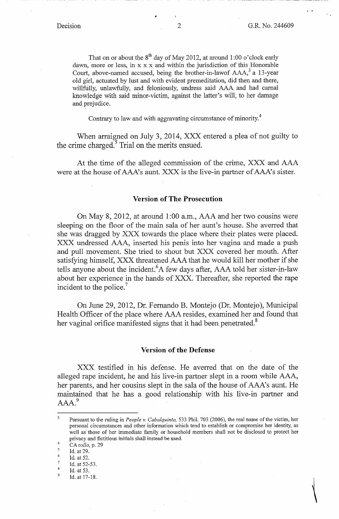' .

That on or about the  $8^{th}$  day of May 2012, at around 1:00 o'clock early dawn, more or less, in x x x and within the jurisdiction of this Honorable Court, above-named accused, being the brother-in-lawof  $AAA$ , a 13-year old girl, actuated by lust and with evident premeditation, did then and there, willfully, unlawfully, and feloniously, undress said AAA and had carnal knowledge with said minor-victim, against the latter's will, to her damage and prejudice.

Contrary to law and with aggravating circumstance of minority.<sup>4</sup>

When arraigned on July 3, 2014, XXX entered a plea of not guilty to the crime charged.<sup>5</sup> Trial on the merits ensued.

At the time of the alleged commission of the crime, XXX and AAA were at the house of AAA's aunt. XXX is the live-in partner of AAA's sister.

#### **Version of The Prosecution**

On May 8, 2012, at around 1 :00 a.m., AAA and her two cousins were sleeping on the floor of the main sala of her aunt's house. She averred that she was dragged by XXX towards the place where their plates were placed. XXX undressed AAA, inserted his penis into her vagina and made a push and pull movement. She tried to shout but XXX covered her mouth. After satisfying himself, XXX threatened AAA that he would kill her mother if she tells anyone about the incident. <sup>6</sup>A few days after, AAA told her sister-in-law about her experience in the hands of XXX. Thereafter, she reported the rape incident to the police.<sup>7</sup>

On June 29, 2012, Dr. Fernando B. Montejo (Dr. Montejo), Municipal Health Officer of the place where AAA resides, examined her and found that her vaginal orifice manifested signs that it had been penetrated.<sup>8</sup>

### **Version of the Defense**

XXX testified in his defense. He averred that on the date of the alleged rape incident, he and his live-in partner slept in a room while AAA, her parents, and her cousins slept in the sala of the house of AAA's aunt. He maintained that he has a good relationship with his live-in partner and AAA.<sup>9</sup>

- 6 Id. at 52.
- 7 Id. at 52-53.

 $\overline{\mathbf{3}}$ Pursuant to the ruling in *People v. Cabalquinto,* 533 Phil. 703 (2006), the real name of the victim, her personal circumstances and other information which tend to establish or compromise her identity, as well as· those of her immediate family or household members shall not be disclosed to protect her privacy and fictitious initials shall instead be used.

<sup>4</sup>  CA *rollo,* p. 29

<sup>5</sup>  Id. at 29.

<sup>8</sup>  Id. at 53.

<sup>9</sup>  Id. at 17-18.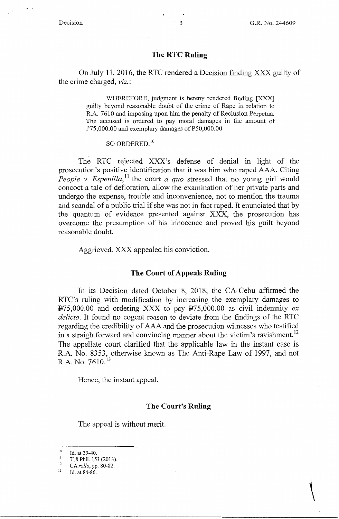$\ddot{ }$ 

 $\setminus$ 

## **The RTC Ruling**

On July 11, 2016, the RTC rendered a Decision finding XXX guilty of the crime charged, *viz.* :

> WHEREFORE, judgment is hereby rendered finding [XXX] guilty beyond reasonable doubt of the crime of Rape in relation to R.A. 7610 and imposing upon him the penalty of Reclusion Perpetua. The accused is ordered to pay moral damages in the amount of P75,000.00 and exemplary damages of P50,000.00

## SO ORDERED.<sup>10</sup>

The RTC rejected XXX's defense of denial in light of the prosecution's positive identification that it was him who raped AAA. Citing *People v. Espenilla*,<sup>11</sup> the court *a quo* stressed that no young girl would concoct a tale of defloration, allow the examination of her private parts and undergo the expense, trouble and inconvenience, not to mention the trauma and scandal of a public trial if she was not in fact raped. It enunciated that by the quantum of evidence presented against XXX, the prosecution has overcome the presumption of his innocence and proved his guilt beyond reasonable doubt.

Aggrieved, XXX appealed his conviction.

## **The Court of Appeals Ruling**

In its Decision dated October 8, 2018, the CA-Cebu affirmed the RTC's ruling with modification by increasing the exemplary damages to  $\text{P75,000.00}$  and ordering XXX to pay  $\text{P75,000.00}$  as civil indemnity *ex delicto.* It found no cogent reason to deviate from the findings of the RTC regarding the credibility of AAA and the prosecution witnesses who testified in a straightforward and convincing manner about the victim's ravishment.<sup>12</sup> The appellate court clarified that the applicable law in the instant case is R.A. No. 8353, otherwise known as The Anti-Rape Law of 1997, and not R.A. No.  $7610^{13}$ 

Hence, the instant appeal.

### **The Court's Ruling**

The appeal is without merit.

 $10$  Id. at 39-40.

II 718 Phil. 153 (2013). 12 CA *rollo,* pp. 80-82. 13 Id. at 84-86.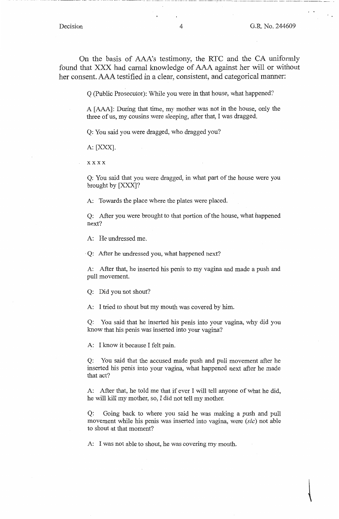On the basis of AAA's testimony, the RTC and the CA uniformly found that XXX had carnal knowledge of AAA against her will or without her consent. AAA testified in a clear, consistent, and categorical manner:

Q (Public Prosecutor): While you were in that house, what happened?

A [AAA]: During that time, my mother was not in the house, only the three of us, my cousins were sleeping, after that, I was dragged.

Q: You said you were dragged, who dragged you?

A: [XXX].

xxxx

Q: You said that you were dragged, in what part of the house were you brought by [XXX]?

A: Towards the place where the plates were placed.

Q: After you were brought to that portion of the house, what happened next?

A: He undressed me.

Q: After he undressed you, what happened next?

A: After that, he inserted his penis to my vagina and made a push and pull movement.

Q: Did you not shout?

A: I tried to shout but my mouth was covered by him.

Q: You said that he inserted his penis into your vagina, why did you know that his penis was inserted into your vagina?

A: I know it because I felt pain.

Q: You said that the accused made push and pull movement after he inserted his penis into your vagina, what happened next after he made that act?

A: After that, he told me that if ever I will tell anyone of what he did, he will kill my mother, so, I did not tell my mother.

Q: Going back to where you said he was making a push and pull movement while his penis was inserted into vagina, were *(sic)* not able to shout at that moment?

A: I was not able to shout, he was covering my mouth.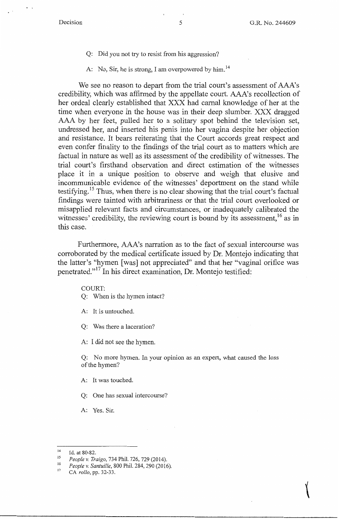- Q: Did you not try *to* resist from his aggression?
- A: No, Sir, he is strong, I am overpowered by him.<sup>14</sup>

We see no reason to depart from the trial court's assessment of AAA's credibility, which was affirmed by the appellate court. AAA's recollection of her ordeal clearly established that XXX had carnal knowledge of her at the time when everyone in the house was in their deep slumber. XXX dragged AAA by her feet, pulled her to a solitary spot behind the television set, undressed her, and inserted his penis into her vagina despite her objection and resistance. It bears reiterating that the Court accords great respect and even confer finality to the findings of the trial court as to matters which are factual in nature as well as its assessment of the credibility of witnesses. The trial court's firsthand observation and direct estimation of the witnesses place it in a unique position to observe and weigh that elusive and incommunicable evidence of the witnesses' deportment on the stand while testifying.<sup>15</sup> Thus, when there is no clear showing that the trial court's factual findings were tainted with arbitrariness or that the trial court overlooked or misapplied relevant facts and circumstances, or inadequately calibrated the witnesses' credibility, the reviewing court is bound by its assessment,  $^{16}$  as in this case.

Furthermore, AAA's narration as to the fact of sexual intercourse was corroborated by the medical certificate issued by Dr. Montejo indicating that the latter's "hymen [was] not appreciated" and that her "vaginal orifice was penetrated."<sup>17</sup> In his direct examination, Dr. Montejo testified:

COURT:

Q: When is the hymen intact?

A: It is untouched.

Q: Was there a laceration?

A: I did not see the hymen.

Q: No more hymen. In your opinion as an expert, what caused the loss of the hymen?

- A: It was touched.
- Q: One has sexual intercourse?
- A: Yes. Sir.

<sup>14</sup> Id. at 80-82. 15 *People v. Traigo,* 734 Phil. 726, 729 (2014).

<sup>16</sup>*People v. Santuille,* 800 Phil. 284,290 (2016). <sup>17</sup>CA *rollo,* pp. 32-33.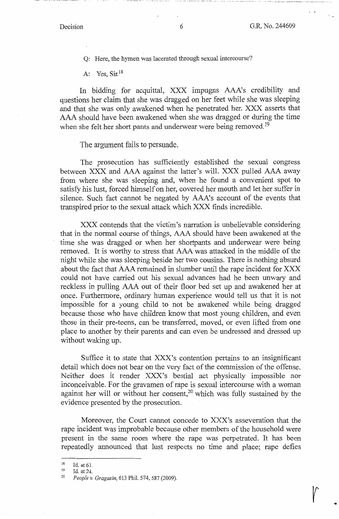$\sqrt{ }$ 

Q: Here, the hymen was lacerated through sexual intercourse?

A: Yes, Sir.<sup>18</sup>

In bidding for acquittal, XXX impugns AAA's credibility and questions her claim that she was dragged on her feet while she was sleeping and that she was only awakened when he penetrated her. XXX asserts that AAA should have been awakened when she was dragged or during the time when she felt her short pants and underwear were being removed.<sup>19</sup>

The argument fails to persuade.

The prosecution has sufficiently established the sexual congress between XXX and AAA against the latter's will. XXX pulled AAA away from where she was sleeping and, when he found a convenient spot to satisfy his lust, forced himself on her, covered her mouth and let her suffer in silence. Such fact cannot be negated by AAA's account of the events that transpired prior to the sexual attack which XXX finds incredible.

XXX contends that the victim's narration is unbelievable considering that in the normal course of things, AAA should have been awakened at the time she was dragged or when her shortpants and underwear were being removed. It is worthy to stress that AAA was attacked in the middle of the night while she was sleeping beside her two cousins. There is nothing absurd about the fact that AAA remained in slumber until the rape incident for XXX could not have carried out his sexual advances had he been unwary and reckless in pulling AAA out of their floor bed set up and awakened her at once. Furthermore, ordinary human experience would tell us that it is not impossible for a young child to not be awakened while being dragged because those who have children know that most young children, and even those in their pre-teens, can be transferred, moved, or even lifted from one place to another by their parents and can even be undressed and dressed up without waking up.

Suffice it to state that XXX's contention pertains to an insignificant detail which does not bear on the very fact of the commission of the offense. Neither does it render XXX's bestial act physically impossible nor inconceivable. For the gravamen of rape is sexual intercourse with a woman against her will or without her consent,<sup>20</sup> which was fully sustained by the evidence presented by the prosecution.

Moreover, the Court cannot concede to XXX's asseveration that the rape incident was improbable because other members of the household were present in the same room where the rape was perpetrated. It has been repeatedly announced that lust respects no time and place; rape defies

<sup>18</sup> Id. at 61. 19 Id. at 24. 20 *People v. Gragasin,* 613 Phil. 574, 587 (2009).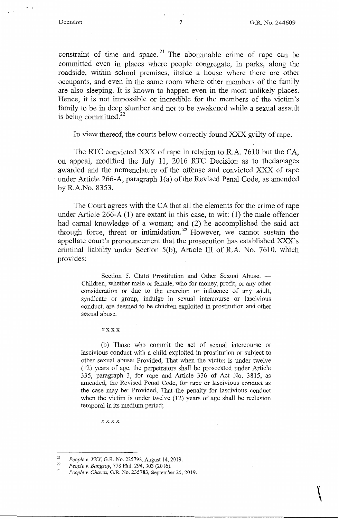$\bigcup$ 

constraint of time and space.<sup>21</sup> The abominable crime of rape can be committed even in places where people congregate, in parks, along the roadside, within school premises, inside a house where there are other occupants, and even in the same room where other members of the family are also sleeping. It is known to happen even in the most unlikely places. Hence, it is not impossible or incredible for the members of the victim's family to be in deep slumber and not to be awakened while a sexual assault is being committed. $^{22}$ 

In view thereof, the courts below correctly found XXX guilty of rape.

The RTC convicted XXX of rape in relation to R.A. 7610 but the CA, on appeal, modified the July 11, 2016 RTC Decision as to thedamages awarded and the nomenclature of the offense and convicted XXX of rape under Article 266-A, paragraph l(a) of the Revised Penal Code, as amended by R.A.No. 8353.

The Court agrees with the CA that all the elements for the crime of rape under Article 266-A (1) are extant in this case, to wit: (1) the male offender had carnal knowledge of a woman; and (2) he accomplished the said act through force, threat or intimidation.<sup>23</sup> However, we cannot sustain the appellate court's pronouncement that the prosecution has established XXX's criminal liability under Section 5(b), Article III of R.A. No. 7610, which provides:

Section 5. Child Prostitution and Other Sexual Abuse. - Children, whether male or female, who for money, profit, or any other consideration or due to the coercion or influence of any adult, syndicate or group, indulge in sexual intercourse or lascivious conduct, are deemed to be children exploited in prostitution and other sexual abuse.

xxxx

(b) Those who commit the act of sexual intercourse or lascivious conduct with a child exploited in prostitution or subject to other sexual abuse; Provided, That when the victim is under twelve (12) years of age, the perpetrators shall be prosecuted under Article 335, paragraph 3, for rape and Article 336 of Act No. 3815, as amended, the Revised Penal Code, for rape or lascivious conduct as the case may be: Provided, That the penalty for lascivious conduct when the victim is under twelve (12) years of age shall be reclusion temporal in its medium period;

xxxx

<sup>21</sup>I *Peop e v. XXX,* G.R. No. 225793, August 14, 2019. 22 *People* v. *Bangsoy,* 778 Phil. 294, 303 (2016). 23 *People v. Chavez,* **G.R. No. 235783, September 25, 2019.**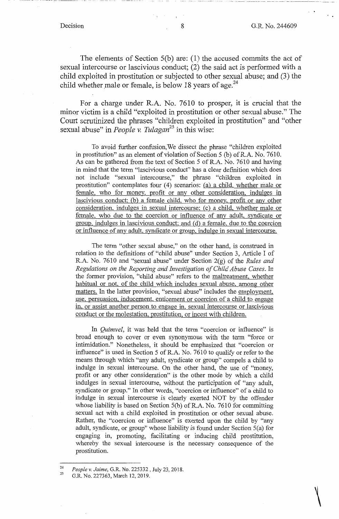$\bigg\vert$ 

The elements of Section S(b) are: (1) the accused commits the act of sexual intercourse or lascivious conduct; (2) the said act is performed with a child exploited in prostitution or subjected to other sexual abuse; and (3) the child whether male or female, is below 18 years of age.<sup>24</sup>

For a charge under R.A. No. 7610 to prosper, it is crucial that the minor victim is a child "exploited in prostitution or other sexual abuse." The Court scrutinized the phrases "children exploited in prostitution" and "other sexual abuse" in *People v. Tulagan<sup>25</sup>*in this wise:

To avoid further confusion,We dissect the phrase "children exploited in prostitution" as an element of violation of Section 5 (b) of R.A. No. 7610. As can be gathered from the text of Section 5 of R.A. No. 7610 and having in mind that the term "lascivious conduct" has a clear definition which does not include "sexual intercourse," the phrase "children exploited in prostitution" contemplates four (4) scenarios: (a) a child. whether male or female, who for money, profit or any other consideration, indulges in lascivious conduct: (b) a female child, who for money, profit or any other consideration. indulges in sexual intercourse; (c) a child, whether male or female, who due to the coercion or influence of any adult, syndicate or group, indulges in lascivious conduct; and (d) a female, due to the coercion or influence of any adult, syndicate or group, indulge in sexual intercourse.

The term "other sexual abuse," on the other hand, is construed in relation to the definitions of "child abuse" under Section 3, Article I of R.A. No. 7610 and "sexual abuse" under Section 2(g) of the *Rules and Regulations on the Reporting arid Investigation of Child Abuse Cases.* In the former provision, "child abuse" refers to the maltreatment, whether habitual or not, of the child which includes sexual abuse, among other matters. In the latter provision, "sexual abuse" includes the employment, use, persuasion, inducement, enticement or coercion of a child to engage in, or assist another person to engage in, sexual intercourse or lascivious conduct or the molestation. prostitution, or incest with children.

In *Quimvel*, it was held that the term "coercion or influence" is broad enough to cover or even synonymous with the term "force or intimidation." Nonetheless, it should be emphasized that "coercion or influence" is used in Section 5 of R.A. No. 7610 to qualify or refer to the means through which "any adult, syndicate or group" compels a child to indulge in sexual intercourse. On the other hand, the use of "money, profit or any other consideration" is the other mode by which a child indulges in sexual intercourse, without the participation of "any adult, syndicate or group." In other words, "coercion or influence" of a child to indulge in sexual intercourse is clearly exerted NOT by the offender whose liability is based on Section S(b) of R.A. No. 7610 for committing sexual act with a child exploited in prostitution or other sexual abuse. Rather, the "coercion or influence" is exerted upon the child by "any adult, syndicate, or group" whose liability is found under Section 5(a) for engaging in, promoting, facilitating or inducing child prostitution, whereby the sexual intercourse is the necessary consequence of the prostitution.

<sup>24</sup>  25 *People v. Jaime,* G.R. No. 225332, July 23, 2018.

G.R. No. 227363, March 12, 2019.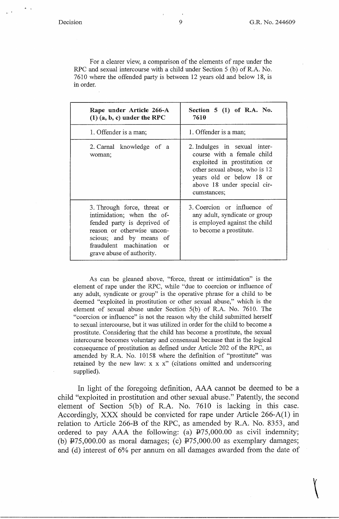$^{\circ}$  '

 $\bigg($ 

For a clearer view, a comparison of the elements of rape under the RPC and sexual intercourse with a child under Section 5 (b) of R.A. No. 7610 where the offended party is between 12 years old and below 18, is in order.

| Rape under Article 266-A<br>$(1)$ $(a, b, c)$ under the RPC                                                                                                                                                 | Section $5(1)$ of R.A. No.<br>7610                                                                                                                                                                    |  |  |
|-------------------------------------------------------------------------------------------------------------------------------------------------------------------------------------------------------------|-------------------------------------------------------------------------------------------------------------------------------------------------------------------------------------------------------|--|--|
| 1. Offender is a man;                                                                                                                                                                                       | 1. Offender is a man;                                                                                                                                                                                 |  |  |
| 2. Carnal knowledge of a<br>woman;                                                                                                                                                                          | 2. Indulges in sexual inter-<br>course with a female child<br>exploited in prostitution or<br>other sexual abuse, who is 12<br>years old or below 18 or<br>above 18 under special cir-<br>cumstances; |  |  |
| 3. Through force, threat or<br>intimidation; when the of-<br>fended party is deprived of<br>reason or otherwise uncon-<br>scious; and by means of<br>fraudulent machination or<br>grave abuse of authority. | 3. Coercion or influence of<br>any adult, syndicate or group<br>is employed against the child<br>to become a prostitute.                                                                              |  |  |

As can be gleaned above, "force, threat or intimidation" is the element of rape under the RPC, while "due to coercion or influence of any adult, syndicate or group" is the operative phrase for a child to be deemed "exploited in prostitution or other sexual abuse," which is the element of sexual abuse under Section 5(b) of R.A. No. 7610. The "coercion or influence" is not the reason why the child submitted herself to sexual intercourse, but it was utilized in order for the child to become a prostitute. Considering that the child has become a prostitute, the sexual intercourse becomes voluntary and consensual because that is the logical consequence of prostitution as defined under Article 202 of the RPC, as amended by R.A. No. 10158 where the definition of "prostitute" was retained by the new law:  $x \times x$ " (citations omitted and underscoring supplied).

In light of the foregoing definition, AAA cannot be deemed to be a child "exploited in prostitution and other sexual abuse." Patently, the second element of Section 5(b) of R.A. No. 7610 is lacking in this case. Accordingly, XXX should be convicted for rape under Article 266-A(l) in relation to Article 266-B of the RPC, as amended by R.A. No. 8353, and ordered to pay AAA the following: (a)  $\overline{P}$ 75,000.00 as civil indemnity; (b)  $\text{P75,000.00}$  as moral damages; (c)  $\text{P75,000.00}$  as exemplary damages; and (d) interest of 6% per annum on all damages awarded from the date of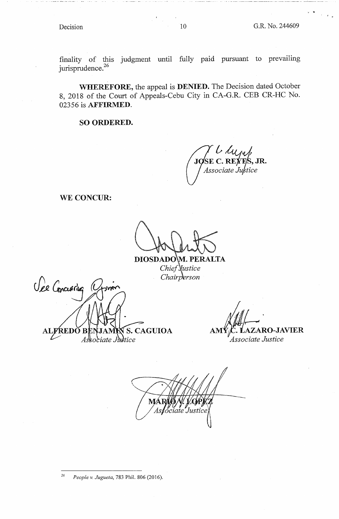$\sim$ 

finality of this judgment until fully paid pursuant to prevailing jurisprudence.<sup>26</sup>

**WHEREFORE,** the appeal is **DENIED.** The Decision dated October 8, 2018 of the Court of Appeals-Cebu City in CA-G.R. CEB CR-HC No. 02356 is **AFFIRMED.** 

**SO ORDERED.** 

**J SE** *l~* **C. RE , JR.**  *Associate Ju tice* 

**WE CONCUR:** 

DIOSDADOM. PERALTA Chief Justice Chairperson

Vee Concreting **ALFREDO S. CAGUIOA** As\sociate Justice

**LAZARO-JAVIER AM**  *Associate Justice* 

 $\checkmark$ M/ ciate

*26 People v. Jugueta,* 783 Phil. 806 (2016).